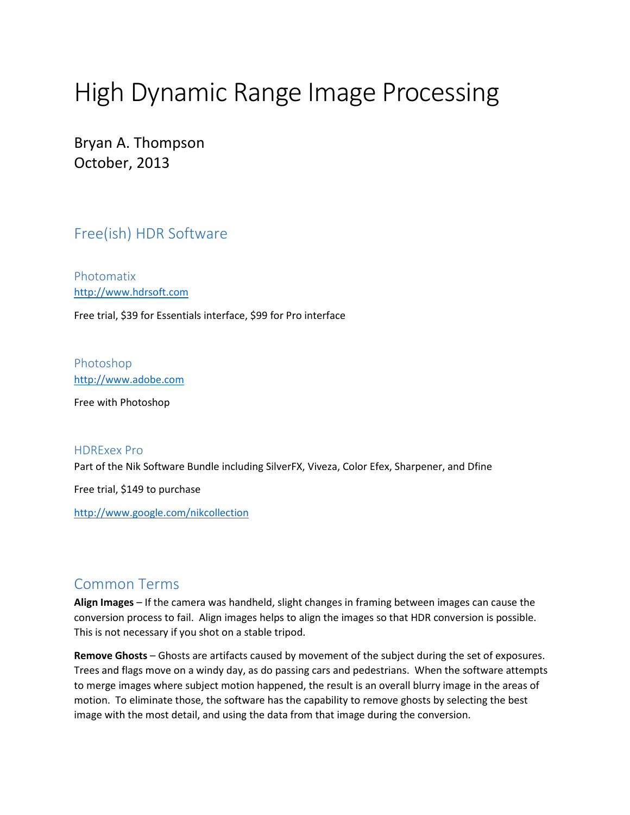# High Dynamic Range Image Processing

Bryan A. Thompson October, 2013

## Free(ish) HDR Software

Photomatix [http://www.hdrsoft.com](http://www.hdrsoft.com/)

Free trial, \$39 for Essentials interface, \$99 for Pro interface

Photoshop [http://www.adobe.com](http://www.adobe.com/)

Free with Photoshop

#### HDRExex Pro

Part of the Nik Software Bundle including SilverFX, Viveza, Color Efex, Sharpener, and Dfine

Free trial, \$149 to purchase

<http://www.google.com/nikcollection>

### Common Terms

**Align Images** – If the camera was handheld, slight changes in framing between images can cause the conversion process to fail. Align images helps to align the images so that HDR conversion is possible. This is not necessary if you shot on a stable tripod.

**Remove Ghosts** – Ghosts are artifacts caused by movement of the subject during the set of exposures. Trees and flags move on a windy day, as do passing cars and pedestrians. When the software attempts to merge images where subject motion happened, the result is an overall blurry image in the areas of motion. To eliminate those, the software has the capability to remove ghosts by selecting the best image with the most detail, and using the data from that image during the conversion.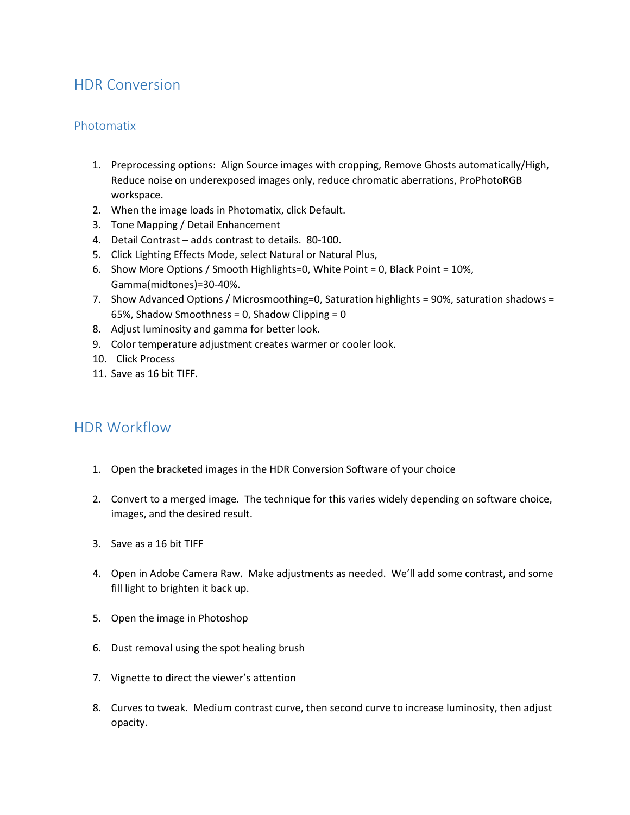# HDR Conversion

#### Photomatix

- 1. Preprocessing options: Align Source images with cropping, Remove Ghosts automatically/High, Reduce noise on underexposed images only, reduce chromatic aberrations, ProPhotoRGB workspace.
- 2. When the image loads in Photomatix, click Default.
- 3. Tone Mapping / Detail Enhancement
- 4. Detail Contrast adds contrast to details. 80-100.
- 5. Click Lighting Effects Mode, select Natural or Natural Plus,
- 6. Show More Options / Smooth Highlights=0, White Point = 0, Black Point = 10%, Gamma(midtones)=30-40%.
- 7. Show Advanced Options / Microsmoothing=0, Saturation highlights = 90%, saturation shadows = 65%, Shadow Smoothness = 0, Shadow Clipping =  $0$
- 8. Adjust luminosity and gamma for better look.
- 9. Color temperature adjustment creates warmer or cooler look.
- 10. Click Process
- 11. Save as 16 bit TIFF.

## HDR Workflow

- 1. Open the bracketed images in the HDR Conversion Software of your choice
- 2. Convert to a merged image. The technique for this varies widely depending on software choice, images, and the desired result.
- 3. Save as a 16 bit TIFF
- 4. Open in Adobe Camera Raw. Make adjustments as needed. We'll add some contrast, and some fill light to brighten it back up.
- 5. Open the image in Photoshop
- 6. Dust removal using the spot healing brush
- 7. Vignette to direct the viewer's attention
- 8. Curves to tweak. Medium contrast curve, then second curve to increase luminosity, then adjust opacity.